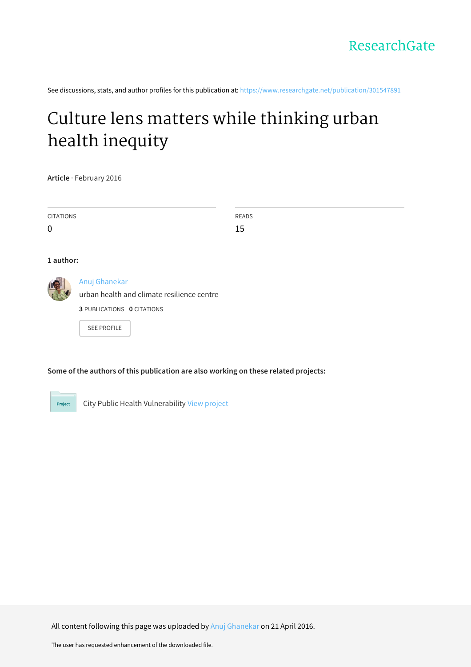See discussions, stats, and author profiles for this publication at: [https://www.researchgate.net/publication/301547891](https://www.researchgate.net/publication/301547891_Culture_lens_matters_while_thinking_urban_health_inequity?enrichId=rgreq-d3b3212d784c72c25cbbe746a355b50a-XXX&enrichSource=Y292ZXJQYWdlOzMwMTU0Nzg5MTtBUzozNTMyMzk2NDkyNzU5MDRAMTQ2MTIzMDMwMzc0Mw%3D%3D&el=1_x_2&_esc=publicationCoverPdf)

# Culture lens matters while [thinking](https://www.researchgate.net/publication/301547891_Culture_lens_matters_while_thinking_urban_health_inequity?enrichId=rgreq-d3b3212d784c72c25cbbe746a355b50a-XXX&enrichSource=Y292ZXJQYWdlOzMwMTU0Nzg5MTtBUzozNTMyMzk2NDkyNzU5MDRAMTQ2MTIzMDMwMzc0Mw%3D%3D&el=1_x_3&_esc=publicationCoverPdf) urban health inequity

**Article** · February 2016

| CITATIONS   | READS |
|-------------|-------|
| $\mathbf 0$ | 15    |
|             |       |
| 1 author:   |       |



# Anuj [Ghanekar](https://www.researchgate.net/profile/Anuj_Ghanekar?enrichId=rgreq-d3b3212d784c72c25cbbe746a355b50a-XXX&enrichSource=Y292ZXJQYWdlOzMwMTU0Nzg5MTtBUzozNTMyMzk2NDkyNzU5MDRAMTQ2MTIzMDMwMzc0Mw%3D%3D&el=1_x_5&_esc=publicationCoverPdf)

urban health and climate resilience centre

**3** PUBLICATIONS **0** CITATIONS

SEE [PROFILE](https://www.researchgate.net/profile/Anuj_Ghanekar?enrichId=rgreq-d3b3212d784c72c25cbbe746a355b50a-XXX&enrichSource=Y292ZXJQYWdlOzMwMTU0Nzg5MTtBUzozNTMyMzk2NDkyNzU5MDRAMTQ2MTIzMDMwMzc0Mw%3D%3D&el=1_x_7&_esc=publicationCoverPdf)

# **Some of the authors of this publication are also working on these related projects:**

Project

City Public Health Vulnerability View [project](https://www.researchgate.net/project/City-Public-Health-Vulnerability?enrichId=rgreq-d3b3212d784c72c25cbbe746a355b50a-XXX&enrichSource=Y292ZXJQYWdlOzMwMTU0Nzg5MTtBUzozNTMyMzk2NDkyNzU5MDRAMTQ2MTIzMDMwMzc0Mw%3D%3D&el=1_x_9&_esc=publicationCoverPdf)

All content following this page was uploaded by Anuj [Ghanekar](https://www.researchgate.net/profile/Anuj_Ghanekar?enrichId=rgreq-d3b3212d784c72c25cbbe746a355b50a-XXX&enrichSource=Y292ZXJQYWdlOzMwMTU0Nzg5MTtBUzozNTMyMzk2NDkyNzU5MDRAMTQ2MTIzMDMwMzc0Mw%3D%3D&el=1_x_10&_esc=publicationCoverPdf) on 21 April 2016.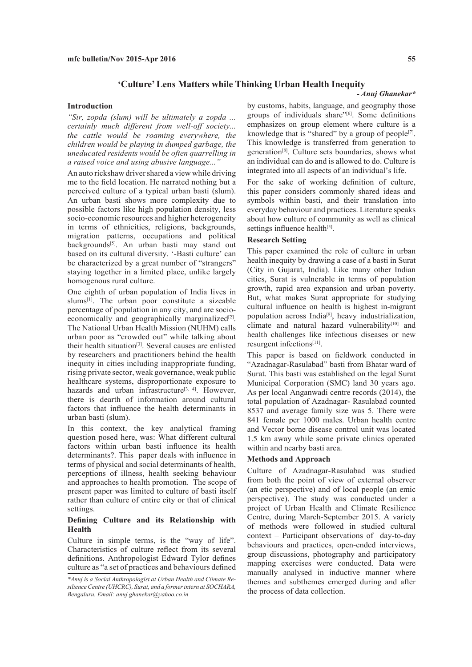# **'Culture' Lens Matters while Thinking Urban Health Inequity**

#### **Introduction**

*"Sir, zopda (slum) will be ultimately a zopda ... certainly much different from well-off society... the cattle would be roaming everywhere, the children would be playing in dumped garbage, the uneducated residents would be often quarrelling in a raised voice and using abusive language..."* 

An auto rickshaw driver shared a view while driving me to the field location. He narrated nothing but a perceived culture of a typical urban basti (slum). An urban basti shows more complexity due to possible factors like high population density, less socio-economic resources and higher heterogeneity in terms of ethnicities, religions, backgrounds, migration patterns, occupations and political backgrounds<sup>[5]</sup>. An urban basti may stand out based on its cultural diversity. '-Basti culture' can be characterized by a great number of "strangers" staying together in a limited place, unlike largely homogenous rural culture.

One eighth of urban population of India lives in  $slums<sup>[1]</sup>$ . The urban poor constitute a sizeable percentage of population in any city, and are socioeconomically and geographically marginalized<sup>[2]</sup>. The National Urban Health Mission (NUHM) calls urban poor as "crowded out" while talking about their health situation<sup>[3]</sup>. Several causes are enlisted by researchers and practitioners behind the health inequity in cities including inappropriate funding, rising private sector, weak governance, weak public healthcare systems, disproportionate exposure to hazards and urban infrastructure<sup>[3, 4]</sup>. However, there is dearth of information around cultural factors that influence the health determinants in urban basti (slum).

In this context, the key analytical framing question posed here, was: What different cultural factors within urban basti influence its health determinants?. This paper deals with influence in terms of physical and social determinants of health, perceptions of illness, health seeking behaviour and approaches to health promotion. The scope of present paper was limited to culture of basti itself rather than culture of entire city or that of clinical settings.

## **Defining Culture and its Relationship with Health**

Culture in simple terms, is the "way of life". Characteristics of culture reflect from its several definitions. Anthropologist Edward Tylor defines culture as "a set of practices and behaviours defined

### *- Anuj Ghanekar\**

by customs, habits, language, and geography those groups of individuals share"[6]. Some definitions emphasizes on group element where culture is a knowledge that is "shared" by a group of people<sup>[7]</sup>. This knowledge is transferred from generation to generation[8]. Culture sets boundaries, shows what an individual can do and is allowed to do. Culture is integrated into all aspects of an individual's life.

For the sake of working definition of culture, this paper considers commonly shared ideas and symbols within basti, and their translation into everyday behaviour and practices. Literature speaks about how culture of community as well as clinical settings influence health<sup>[5]</sup>.

# **Research Setting**

This paper examined the role of culture in urban health inequity by drawing a case of a basti in Surat (City in Gujarat, India). Like many other Indian cities, Surat is vulnerable in terms of population growth, rapid area expansion and urban poverty. But, what makes Surat appropriate for studying cultural influence on health is highest in-migrant population across India<sup>[9]</sup>, heavy industrialization, climate and natural hazard vulnerability $[10]$  and health challenges like infectious diseases or new resurgent infections[11].

This paper is based on fieldwork conducted in "Azadnagar-Rasulabad" basti from Bhatar ward of Surat. This basti was established on the legal Surat Municipal Corporation (SMC) land 30 years ago. As per local Anganwadi centre records (2014), the total population of Azadnagar- Rasulabad counted 8537 and average family size was 5. There were 841 female per 1000 males. Urban health centre and Vector borne disease control unit was located 1.5 km away while some private clinics operated within and nearby basti area.

#### **Methods and Approach**

Culture of Azadnagar-Rasulabad was studied from both the point of view of external observer (an etic perspective) and of local people (an emic perspective). The study was conducted under a project of Urban Health and Climate Resilience Centre, during March-September 2015. A variety of methods were followed in studied cultural context – Participant observations of day-to-day behaviours and practices, open-ended interviews, group discussions, photography and participatory mapping exercises were conducted. Data were manually analysed in inductive manner where themes and subthemes emerged during and after the process of data collection.

*<sup>\*</sup>Anuj is a Social Anthropologist at Urban Health and Climate Resilience Centre (UHCRC), Surat, and a former intern at SOCHARA, Bengaluru. Email: anuj.ghanekar@yahoo.co.in*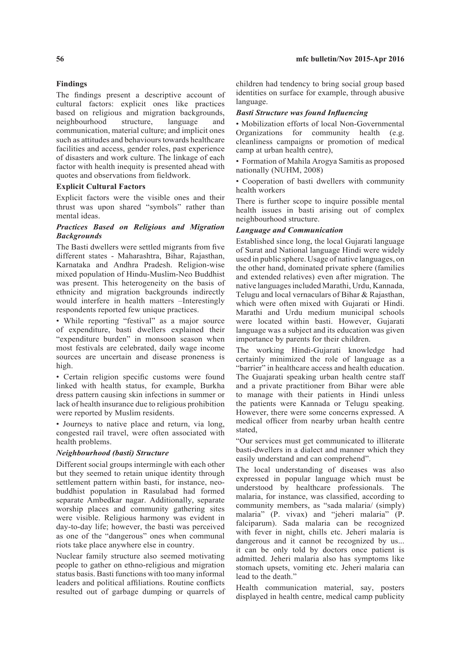# **Findings**

The findings present a descriptive account of cultural factors: explicit ones like practices based on religious and migration backgrounds, neighbourhood structure, language and communication, material culture; and implicit ones such as attitudes and behaviours towards healthcare facilities and access, gender roles, past experience of disasters and work culture. The linkage of each factor with health inequity is presented ahead with quotes and observations from fieldwork.

## **Explicit Cultural Factors**

Explicit factors were the visible ones and their thrust was upon shared "symbols" rather than mental ideas.

## *Practices Based on Religious and Migration Backgrounds*

The Basti dwellers were settled migrants from five different states - Maharashtra, Bihar, Rajasthan, Karnataka and Andhra Pradesh. Religion-wise mixed population of Hindu-Muslim-Neo Buddhist was present. This heterogeneity on the basis of ethnicity and migration backgrounds indirectly would interfere in health matters –Interestingly respondents reported few unique practices.

• While reporting "festival" as a major source of expenditure, basti dwellers explained their "expenditure burden" in monsoon season when most festivals are celebrated, daily wage income sources are uncertain and disease proneness is high.

• Certain religion specific customs were found linked with health status, for example, Burkha dress pattern causing skin infections in summer or lack of health insurance due to religious prohibition were reported by Muslim residents.

• Journeys to native place and return, via long, congested rail travel, were often associated with health problems.

#### *Neighbourhood (basti) Structure*

Different social groups intermingle with each other but they seemed to retain unique identity through settlement pattern within basti, for instance, neobuddhist population in Rasulabad had formed separate Ambedkar nagar. Additionally, separate worship places and community gathering sites were visible. Religious harmony was evident in day-to-day life; however, the basti was perceived as one of the "dangerous" ones when communal riots take place anywhere else in country.

Nuclear family structure also seemed motivating people to gather on ethno-religious and migration status basis. Basti functions with too many informal leaders and political affiliations. Routine conflicts resulted out of garbage dumping or quarrels of

children had tendency to bring social group based identities on surface for example, through abusive language.

## *Basti Structure was found Influencing*

• Mobilization efforts of local Non-Governmental Organizations for community health (e.g. cleanliness campaigns or promotion of medical camp at urban health centre),

• Formation of Mahila Arogya Samitis as proposed nationally (NUHM, 2008)

• Cooperation of basti dwellers with community health workers

There is further scope to inquire possible mental health issues in basti arising out of complex neighbourhood structure.

### *Language and Communication*

Established since long, the local Gujarati language of Surat and National language Hindi were widely used in public sphere. Usage of native languages, on the other hand, dominated private sphere (families and extended relatives) even after migration. The native languages included Marathi, Urdu, Kannada, Telugu and local vernaculars of Bihar & Rajasthan, which were often mixed with Gujarati or Hindi. Marathi and Urdu medium municipal schools were located within basti. However, Gujarati language was a subject and its education was given importance by parents for their children.

The working Hindi-Gujarati knowledge had certainly minimized the role of language as a "barrier" in healthcare access and health education. The Guajarati speaking urban health centre staff and a private practitioner from Bihar were able to manage with their patients in Hindi unless the patients were Kannada or Telugu speaking. However, there were some concerns expressed. A medical officer from nearby urban health centre stated,

"Our services must get communicated to illiterate basti-dwellers in a dialect and manner which they easily understand and can comprehend".

The local understanding of diseases was also expressed in popular language which must be understood by healthcare professionals. The malaria, for instance, was classified, according to community members, as "sada malaria/ (simply) malaria" (P. vivax) and "jeheri malaria" (P. falciparum). Sada malaria can be recognized with fever in night, chills etc. Jeheri malaria is dangerous and it cannot be recognized by us... it can be only told by doctors once patient is admitted. Jeheri malaria also has symptoms like stomach upsets, vomiting etc. Jeheri malaria can lead to the death."

Health communication material, say, posters displayed in health centre, medical camp publicity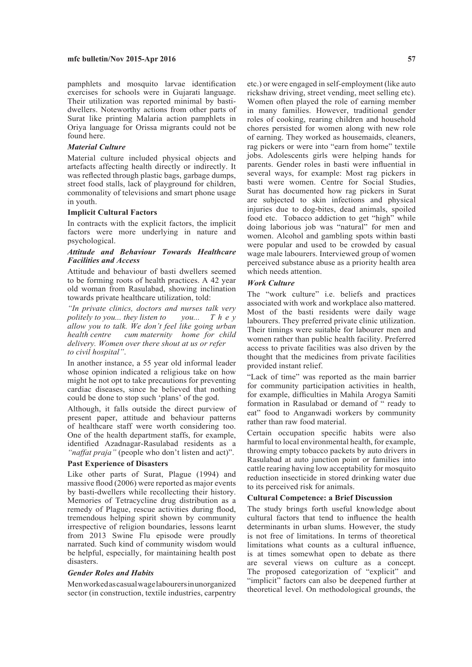pamphlets and mosquito larvae identification exercises for schools were in Gujarati language. Their utilization was reported minimal by bastidwellers. Noteworthy actions from other parts of Surat like printing Malaria action pamphlets in Oriya language for Orissa migrants could not be found here.

#### *Material Culture*

Material culture included physical objects and artefacts affecting health directly or indirectly. It was reflected through plastic bags, garbage dumps, street food stalls, lack of playground for children, commonality of televisions and smart phone usage in youth.

#### **Implicit Cultural Factors**

In contracts with the explicit factors, the implicit factors were more underlying in nature and psychological.

## *Attitude and Behaviour Towards Healthcare Facilities and Access*

Attitude and behaviour of basti dwellers seemed to be forming roots of health practices. A 42 year old woman from Rasulabad, showing inclination towards private healthcare utilization, told:

*"In private clinics, doctors and nurses talk very politely to you... they listen to you... T h e y allow you to talk. We don't feel like going urban health centre cum maternity home for child delivery. Women over there shout at us or refer to civil hospital"*.

In another instance, a 55 year old informal leader whose opinion indicated a religious take on how might he not opt to take precautions for preventing cardiac diseases, since he believed that nothing could be done to stop such 'plans' of the god.

Although, it falls outside the direct purview of present paper, attitude and behaviour patterns of healthcare staff were worth considering too. One of the health department staffs, for example, identified Azadnagar-Rasulabad residents as a *"naffat praja"* (people who don't listen and act)".

#### **Past Experience of Disasters**

Like other parts of Surat, Plague (1994) and massive flood (2006) were reported as major events by basti-dwellers while recollecting their history. Memories of Tetracycline drug distribution as a remedy of Plague, rescue activities during flood, tremendous helping spirit shown by community irrespective of religion boundaries, lessons learnt from 2013 Swine Flu episode were proudly narrated. Such kind of community wisdom would be helpful, especially, for maintaining health post disasters.

#### *Gender Roles and Habits*

Men worked as casual wage labourers in unorganized sector (in construction, textile industries, carpentry

etc.) or were engaged in self-employment (like auto rickshaw driving, street vending, meet selling etc). Women often played the role of earning member in many families. However, traditional gender roles of cooking, rearing children and household chores persisted for women along with new role of earning. They worked as housemaids, cleaners, rag pickers or were into "earn from home" textile jobs. Adolescents girls were helping hands for parents. Gender roles in basti were influential in several ways, for example: Most rag pickers in basti were women. Centre for Social Studies, Surat has documented how rag pickers in Surat are subjected to skin infections and physical injuries due to dog-bites, dead animals, spoiled food etc. Tobacco addiction to get "high" while doing laborious job was "natural" for men and women. Alcohol and gambling spots within basti were popular and used to be crowded by casual wage male labourers. Interviewed group of women perceived substance abuse as a priority health area which needs attention.

# *Work Culture*

The "work culture" i.e. beliefs and practices associated with work and workplace also mattered. Most of the basti residents were daily wage labourers. They preferred private clinic utilization. Their timings were suitable for labourer men and women rather than public health facility. Preferred access to private facilities was also driven by the thought that the medicines from private facilities provided instant relief.

"Lack of time" was reported as the main barrier for community participation activities in health, for example, difficulties in Mahila Arogya Samiti formation in Rasulabad or demand of " ready to eat" food to Anganwadi workers by community rather than raw food material.

Certain occupation specific habits were also harmful to local environmental health, for example, throwing empty tobacco packets by auto drivers in Rasulabad at auto junction point or families into cattle rearing having low acceptability for mosquito reduction insecticide in stored drinking water due to its perceived risk for animals.

### **Cultural Competence: a Brief Discussion**

The study brings forth useful knowledge about cultural factors that tend to influence the health determinants in urban slums. However, the study is not free of limitations. In terms of theoretical limitations what counts as a cultural influence, is at times somewhat open to debate as there are several views on culture as a concept. The proposed categorization of "explicit" and "implicit" factors can also be deepened further at theoretical level. On methodological grounds, the